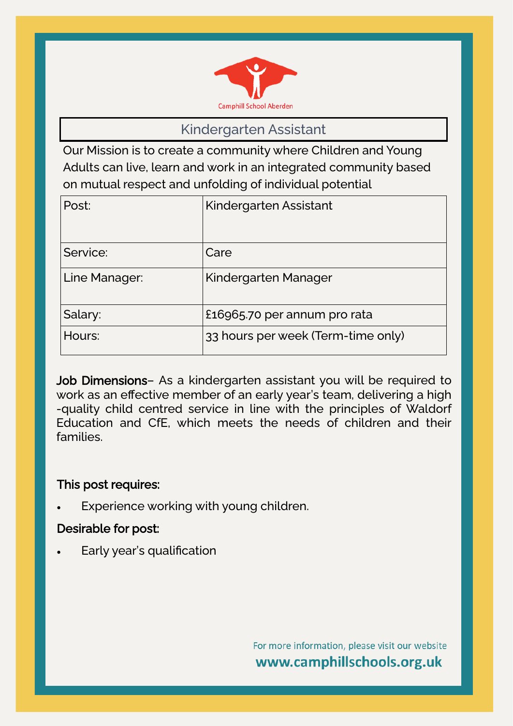

## Kindergarten Assistant

Our Mission is to create a community where Children and Young Adults can live, learn and work in an integrated community based on mutual respect and unfolding of individual potential

| Post:         | Kindergarten Assistant             |
|---------------|------------------------------------|
| Service:      | Care                               |
| Line Manager: | Kindergarten Manager               |
| Salary:       | £16965.70 per annum pro rata       |
| Hours:        | 33 hours per week (Term-time only) |

Job Dimensions– As a kindergarten assistant you will be required to work as an effective member of an early year's team, delivering a high -quality child centred service in line with the principles of Waldorf Education and CfE, which meets the needs of children and their families.

## This post requires:

Experience working with young children.

## Desirable for post:

• Early year's qualification

For more information, please visit our website www.camphillschools.org.uk